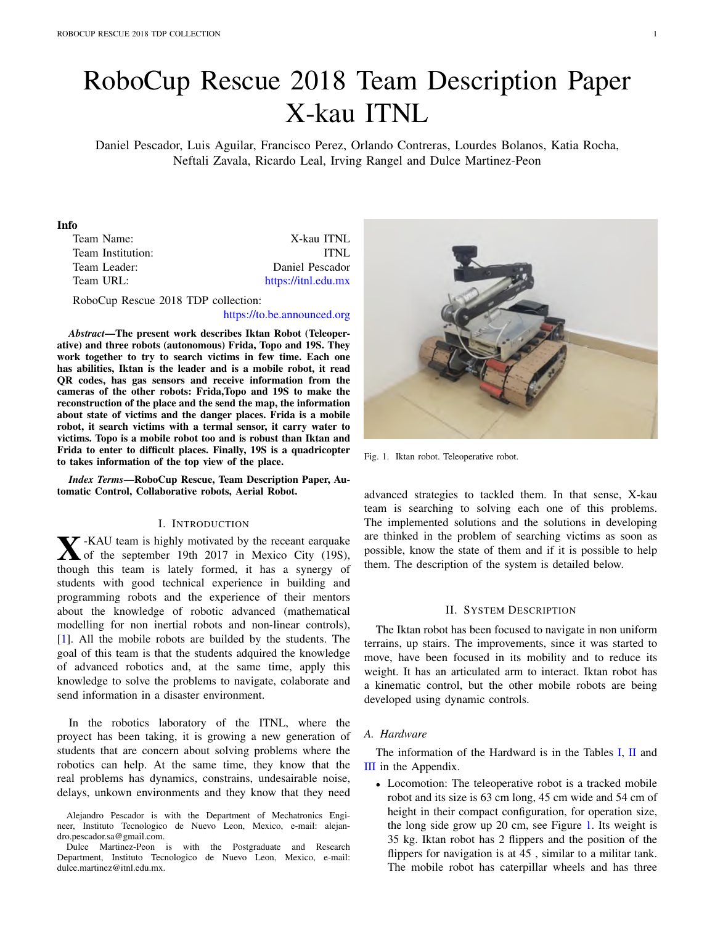# RoboCup Rescue 2018 Team Description Paper X-kau ITNL

Daniel Pescador, Luis Aguilar, Francisco Perez, Orlando Contreras, Lourdes Bolanos, Katia Rocha, Neftali Zavala, Ricardo Leal, Irving Rangel and Dulce Martinez-Peon

#### Info

| Team Name:        | X-kau ITNL          |
|-------------------|---------------------|
| Team Institution: | TTNL                |
| Team Leader:      | Daniel Pescador     |
| Team URL:         | https://itnl.edu.mx |
|                   |                     |

RoboCup Rescue 2018 TDP collection:

#### https://to.be.announced.org

*Abstract*—The present work describes Iktan Robot (Teleoperative) and three robots (autonomous) Frida, Topo and 19S. They work together to try to search victims in few time. Each one has abilities, Iktan is the leader and is a mobile robot, it read QR codes, has gas sensors and receive information from the cameras of the other robots: Frida,Topo and 19S to make the reconstruction of the place and the send the map, the information about state of victims and the danger places. Frida is a mobile robot, it search victims with a termal sensor, it carry water to victims. Topo is a mobile robot too and is robust than Iktan and Frida to enter to difficult places. Finally, 19S is a quadricopter to takes information of the top view of the place.

*Index Terms*—RoboCup Rescue, Team Description Paper, Automatic Control, Collaborative robots, Aerial Robot.

#### I. INTRODUCTION

**X**-KAU team is highly motivated by the receant earquake<br>of the september 19th 2017 in Mexico City (19S),<br>though this team is lately formed it has a syneroy of though this team is lately formed, it has a synergy of students with good technical experience in building and programming robots and the experience of their mentors about the knowledge of robotic advanced (mathematical modelling for non inertial robots and non-linear controls), [1]. All the mobile robots are builded by the students. The goal of this team is that the students adquired the knowledge of advanced robotics and, at the same time, apply this knowledge to solve the problems to navigate, colaborate and send information in a disaster environment.

In the robotics laboratory of the ITNL, where the proyect has been taking, it is growing a new generation of students that are concern about solving problems where the robotics can help. At the same time, they know that the real problems has dynamics, constrains, undesairable noise, delays, unkown environments and they know that they need



Fig. 1. Iktan robot. Teleoperative robot.

advanced strategies to tackled them. In that sense, X-kau team is searching to solving each one of this problems. The implemented solutions and the solutions in developing are thinked in the problem of searching victims as soon as possible, know the state of them and if it is possible to help them. The description of the system is detailed below.

## II. SYSTEM DESCRIPTION

The Iktan robot has been focused to navigate in non uniform terrains, up stairs. The improvements, since it was started to move, have been focused in its mobility and to reduce its weight. It has an articulated arm to interact. Iktan robot has a kinematic control, but the other mobile robots are being developed using dynamic controls.

#### *A. Hardware*

The information of the Hardward is in the Tables I, II and III in the Appendix.

*•* Locomotion: The teleoperative robot is a tracked mobile robot and its size is 63 cm long, 45 cm wide and 54 cm of height in their compact configuration, for operation size, the long side grow up 20 cm, see Figure 1. Its weight is 35 kg. Iktan robot has 2 flippers and the position of the flippers for navigation is at 45, similar to a militar tank. The mobile robot has caterpillar wheels and has three

Alejandro Pescador is with the Department of Mechatronics Engineer, Instituto Tecnologico de Nuevo Leon, Mexico, e-mail: alejandro.pescador.sa@gmail.com.

Dulce Martinez-Peon is with the Postgraduate and Research Department, Instituto Tecnologico de Nuevo Leon, Mexico, e-mail: dulce.martinez@itnl.edu.mx.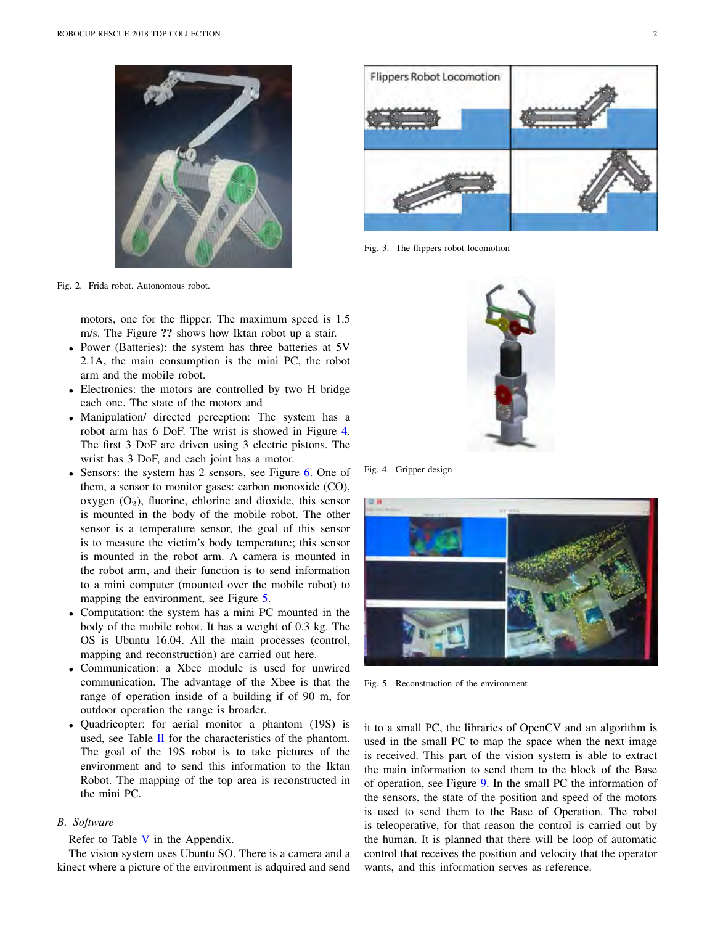



Fig. 3. The flippers robot locomotion

Fig. 2. Frida robot. Autonomous robot.

motors, one for the flipper. The maximum speed is 1.5 m/s. The Figure ?? shows how Iktan robot up a stair.

- *•* Power (Batteries): the system has three batteries at 5V 2.1A, the main consumption is the mini PC, the robot arm and the mobile robot.
- *•* Electronics: the motors are controlled by two H bridge each one. The state of the motors and
- *•* Manipulation/ directed perception: The system has a robot arm has 6 DoF. The wrist is showed in Figure 4. The first 3 DoF are driven using 3 electric pistons. The wrist has 3 DoF, and each joint has a motor.
- Sensors: the system has 2 sensors, see Figure 6. One of them, a sensor to monitor gases: carbon monoxide (CO), oxygen  $(O_2)$ , fluorine, chlorine and dioxide, this sensor is mounted in the body of the mobile robot. The other sensor is a temperature sensor, the goal of this sensor is to measure the victim's body temperature; this sensor is mounted in the robot arm. A camera is mounted in the robot arm, and their function is to send information to a mini computer (mounted over the mobile robot) to mapping the environment, see Figure 5.
- *•* Computation: the system has a mini PC mounted in the body of the mobile robot. It has a weight of 0.3 kg. The OS is Ubuntu 16.04. All the main processes (control, mapping and reconstruction) are carried out here.
- *•* Communication: a Xbee module is used for unwired communication. The advantage of the Xbee is that the range of operation inside of a building if of 90 m, for outdoor operation the range is broader.
- *•* Quadricopter: for aerial monitor a phantom (19S) is used, see Table II for the characteristics of the phantom. The goal of the 19S robot is to take pictures of the environment and to send this information to the Iktan Robot. The mapping of the top area is reconstructed in the mini PC.

# *B. Software*

Refer to Table V in the Appendix.

The vision system uses Ubuntu SO. There is a camera and a kinect where a picture of the environment is adquired and send



Fig. 4. Gripper design



Fig. 5. Reconstruction of the environment

it to a small PC, the libraries of OpenCV and an algorithm is used in the small PC to map the space when the next image is received. This part of the vision system is able to extract the main information to send them to the block of the Base of operation, see Figure 9. In the small PC the information of the sensors, the state of the position and speed of the motors is used to send them to the Base of Operation. The robot is teleoperative, for that reason the control is carried out by the human. It is planned that there will be loop of automatic control that receives the position and velocity that the operator wants, and this information serves as reference.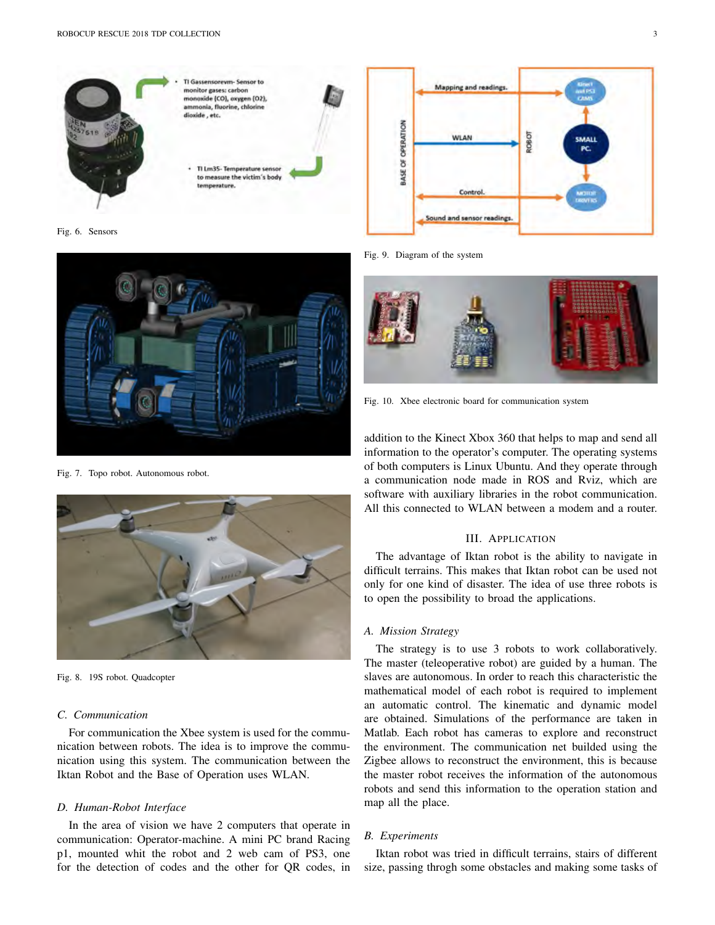

Fig. 6. Sensors



Fig. 7. Topo robot. Autonomous robot.



Fig. 8. 19S robot. Quadcopter

## *C. Communication*

For communication the Xbee system is used for the communication between robots. The idea is to improve the communication using this system. The communication between the Iktan Robot and the Base of Operation uses WLAN.

#### *D. Human-Robot Interface*

In the area of vision we have 2 computers that operate in communication: Operator-machine. A mini PC brand Racing p1, mounted whit the robot and 2 web cam of PS3, one for the detection of codes and the other for QR codes, in



Fig. 9. Diagram of the system



Fig. 10. Xbee electronic board for communication system

addition to the Kinect Xbox 360 that helps to map and send all information to the operator's computer. The operating systems of both computers is Linux Ubuntu. And they operate through a communication node made in ROS and Rviz, which are software with auxiliary libraries in the robot communication. All this connected to WLAN between a modem and a router.

## III. APPLICATION

The advantage of Iktan robot is the ability to navigate in difficult terrains. This makes that Iktan robot can be used not only for one kind of disaster. The idea of use three robots is to open the possibility to broad the applications.

#### *A. Mission Strategy*

The strategy is to use 3 robots to work collaboratively. The master (teleoperative robot) are guided by a human. The slaves are autonomous. In order to reach this characteristic the mathematical model of each robot is required to implement an automatic control. The kinematic and dynamic model are obtained. Simulations of the performance are taken in Matlab. Each robot has cameras to explore and reconstruct the environment. The communication net builded using the Zigbee allows to reconstruct the environment, this is because the master robot receives the information of the autonomous robots and send this information to the operation station and map all the place.

# *B. Experiments*

Iktan robot was tried in difficult terrains, stairs of different size, passing throgh some obstacles and making some tasks of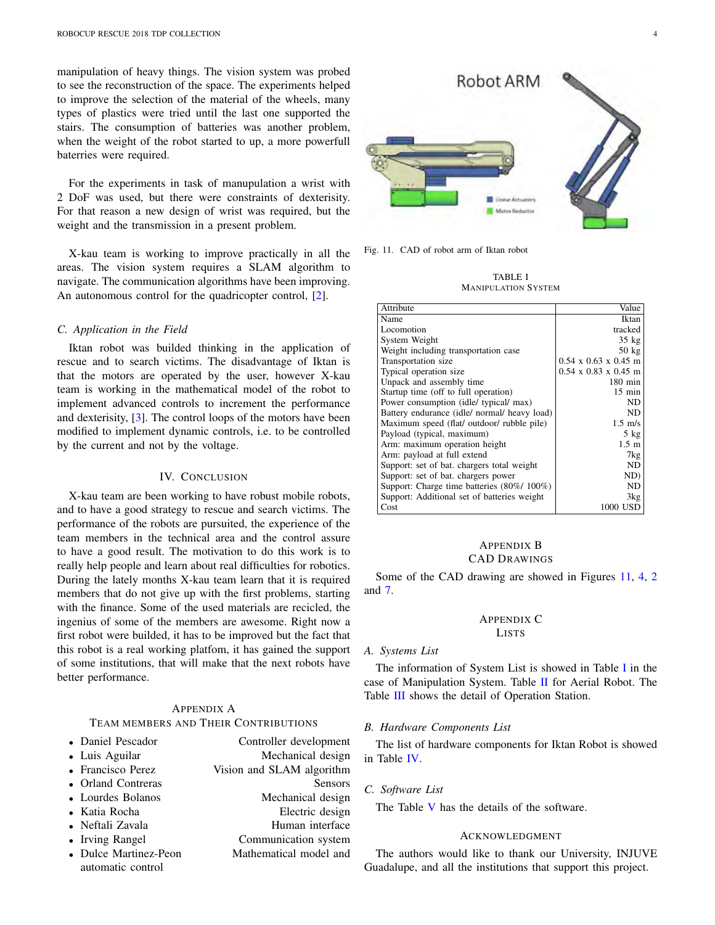manipulation of heavy things. The vision system was probed to see the reconstruction of the space. The experiments helped to improve the selection of the material of the wheels, many types of plastics were tried until the last one supported the stairs. The consumption of batteries was another problem, when the weight of the robot started to up, a more powerfull baterries were required.

For the experiments in task of manupulation a wrist with 2 DoF was used, but there were constraints of dexterisity. For that reason a new design of wrist was required, but the weight and the transmission in a present problem.

X-kau team is working to improve practically in all the areas. The vision system requires a SLAM algorithm to navigate. The communication algorithms have been improving. An autonomous control for the quadricopter control, [2].

# *C. Application in the Field*

Iktan robot was builded thinking in the application of rescue and to search victims. The disadvantage of Iktan is that the motors are operated by the user, however X-kau team is working in the mathematical model of the robot to implement advanced controls to increment the performance and dexterisity, [3]. The control loops of the motors have been modified to implement dynamic controls, i.e. to be controlled by the current and not by the voltage.

## IV. CONCLUSION

X-kau team are been working to have robust mobile robots, and to have a good strategy to rescue and search victims. The performance of the robots are pursuited, the experience of the team members in the technical area and the control assure to have a good result. The motivation to do this work is to really help people and learn about real difficulties for robotics. During the lately months X-kau team learn that it is required members that do not give up with the first problems, starting with the finance. Some of the used materials are recicled, the ingenius of some of the members are awesome. Right now a first robot were builded, it has to be improved but the fact that this robot is a real working platfom, it has gained the support of some institutions, that will make that the next robots have better performance.

#### APPENDIX A TEAM MEMBERS AND THEIR CONTRIBUTIONS

| • Daniel Pescador     | Controller development    |
|-----------------------|---------------------------|
| • Luis Aguilar        | Mechanical design         |
| • Francisco Perez     | Vision and SLAM algorithm |
| • Orland Contreras    | <b>Sensors</b>            |
| • Lourdes Bolanos     | Mechanical design         |
| • Katia Rocha         | Electric design           |
| • Neftali Zavala      | Human interface           |
| • Irving Rangel       | Communication system      |
| • Dulce Martinez-Peon | Mathematical model and    |
| automatic control     |                           |



Fig. 11. CAD of robot arm of Iktan robot

TABLE I MANIPULATION SYSTEM

| Attribute                                    | Value                            |
|----------------------------------------------|----------------------------------|
| Name                                         | Iktan                            |
| Locomotion                                   | tracked                          |
| System Weight                                | $35 \text{ kg}$                  |
| Weight including transportation case         | $50 \text{ kg}$                  |
| Transportation size                          | $0.54 \times 0.63 \times 0.45$ m |
| Typical operation size                       | $0.54 \times 0.83 \times 0.45$ m |
| Unpack and assembly time                     | $180 \text{ min}$                |
| Startup time (off to full operation)         | $15 \text{ min}$                 |
| Power consumption (idle/ typical/ max)       | ND                               |
| Battery endurance (idle/ normal/ heavy load) | ND.                              |
| Maximum speed (flat/ outdoor/ rubble pile)   | $1.5 \text{ m/s}$                |
| Payload (typical, maximum)                   | $5$ kg                           |
| Arm: maximum operation height                | $1.5 \; \mathrm{m}$              |
| Arm: payload at full extend                  | 7kg                              |
| Support: set of bat. chargers total weight   | ND                               |
| Support: set of bat. chargers power          | ND)                              |
| Support: Charge time batteries (80%/100%)    | ND.                              |
| Support: Additional set of batteries weight  | 3kg                              |
| Cost                                         | 1000 USD                         |

# APPENDIX B CAD DRAWINGS

Some of the CAD drawing are showed in Figures 11, 4, 2 and 7.

#### APPENDIX C LISTS

#### *A. Systems List*

The information of System List is showed in Table I in the case of Manipulation System. Table II for Aerial Robot. The Table III shows the detail of Operation Station.

#### *B. Hardware Components List*

The list of hardware components for Iktan Robot is showed in Table IV.

*C. Software List*

The Table V has the details of the software.

# ACKNOWLEDGMENT

The authors would like to thank our University, INJUVE Guadalupe, and all the institutions that support this project.